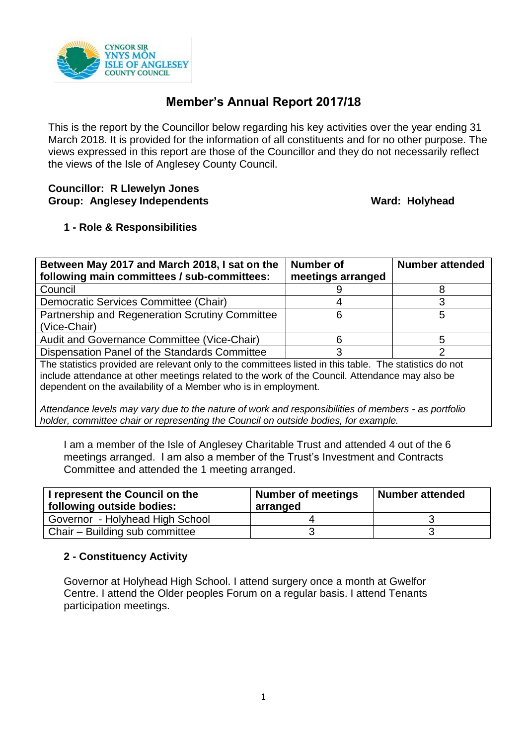

# **Member's Annual Report 2017/18**

This is the report by the Councillor below regarding his key activities over the year ending 31 March 2018. It is provided for the information of all constituents and for no other purpose. The views expressed in this report are those of the Councillor and they do not necessarily reflect the views of the Isle of Anglesey County Council.

#### **Councillor: R Llewelyn Jones** Group: Anglesey Independents **Ward: Holyhead**

## **1 - Role & Responsibilities**

| Between May 2017 and March 2018, I sat on the                                                           | Number of         | <b>Number attended</b> |  |
|---------------------------------------------------------------------------------------------------------|-------------------|------------------------|--|
| following main committees / sub-committees:                                                             | meetings arranged |                        |  |
| Council                                                                                                 |                   |                        |  |
| Democratic Services Committee (Chair)                                                                   |                   |                        |  |
| Partnership and Regeneration Scrutiny Committee                                                         |                   | 5                      |  |
| (Vice-Chair)                                                                                            |                   |                        |  |
| Audit and Governance Committee (Vice-Chair)                                                             |                   |                        |  |
| Dispensation Panel of the Standards Committee                                                           |                   |                        |  |
| The statistics provided are relevant only to the committees listed in this table. The statistics do not |                   |                        |  |
| include attendence at other meetings related to the werk of the Council Attendence may also be          |                   |                        |  |

include attendance at other meetings related to the work of the Council. Attendance may also be dependent on the availability of a Member who is in employment.

*Attendance levels may vary due to the nature of work and responsibilities of members - as portfolio holder, committee chair or representing the Council on outside bodies, for example.*

I am a member of the Isle of Anglesey Charitable Trust and attended 4 out of the 6 meetings arranged. I am also a member of the Trust's Investment and Contracts Committee and attended the 1 meeting arranged.

| I represent the Council on the<br>following outside bodies: | <b>Number of meetings</b><br>arranged | Number attended |
|-------------------------------------------------------------|---------------------------------------|-----------------|
| Governor - Holyhead High School                             |                                       |                 |
| Chair - Building sub committee                              |                                       |                 |

### **2 - Constituency Activity**

Governor at Holyhead High School. I attend surgery once a month at Gwelfor Centre. I attend the Older peoples Forum on a regular basis. I attend Tenants participation meetings.